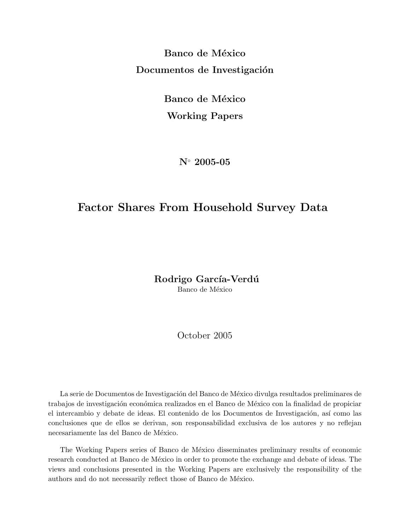Banco de México Documentos de Investigación

> Banco de México Working Papers

> > N◦ 2005-05

# Factor Shares From Household Survey Data

Rodrigo García-Verdú Banco de México

October 2005

La serie de Documentos de Investigación del Banco de México divulga resultados preliminares de trabajos de investigación económica realizados en el Banco de México con la finalidad de propiciar el intercambio y debate de ideas. El contenido de los Documentos de Investigación, así como las conclusiones que de ellos se derivan, son responsabilidad exclusiva de los autores y no reflejan necesariamente las del Banco de México.

The Working Papers series of Banco de México disseminates preliminary results of economic research conducted at Banco de México in order to promote the exchange and debate of ideas. The views and conclusions presented in the Working Papers are exclusively the responsibility of the authors and do not necessarily reflect those of Banco de México.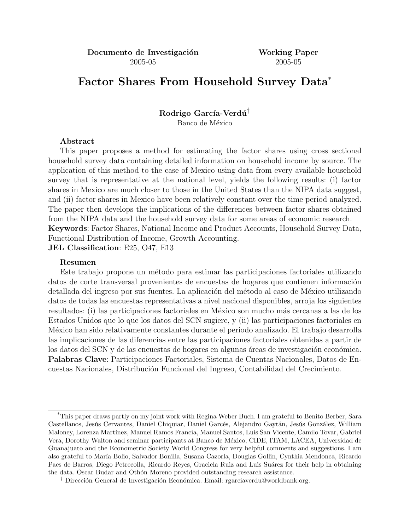Documento de Investigación Working Paper 2005-05 2005-05

# Factor Shares From Household Survey Data\*

Rodrigo García-Verdú<sup>†</sup> Banco de México

# Abstract

This paper proposes a method for estimating the factor shares using cross sectional household survey data containing detailed information on household income by source. The application of this method to the case of Mexico using data from every available household survey that is representative at the national level, yields the following results: (i) factor shares in Mexico are much closer to those in the United States than the NIPA data suggest, and (ii) factor shares in Mexico have been relatively constant over the time period analyzed. The paper then develops the implications of the differences between factor shares obtained from the NIPA data and the household survey data for some areas of economic research. Keywords: Factor Shares, National Income and Product Accounts, Household Survey Data, Functional Distribution of Income, Growth Accounting.

JEL Classification: E25, O47, E13

# Resumen

Este trabajo propone un método para estimar las participaciones factoriales utilizando datos de corte transversal provenientes de encuestas de hogares que contienen información detallada del ingreso por sus fuentes. La aplicación del método al caso de México utilizando datos de todas las encuestas representativas a nivel nacional disponibles, arroja los siguientes resultados: (i) las participaciones factoriales en México son mucho más cercanas a las de los Estados Unidos que lo que los datos del SCN sugiere, y (ii) las participaciones factoriales en M´exico han sido relativamente constantes durante el periodo analizado. El trabajo desarrolla las implicaciones de las diferencias entre las participaciones factoriales obtenidas a partir de los datos del SCN y de las encuestas de hogares en algunas áreas de investigación económica. Palabras Clave: Participaciones Factoriales, Sistema de Cuentas Nacionales, Datos de Encuestas Nacionales, Distribuci´on Funcional del Ingreso, Contabilidad del Crecimiento.

<sup>\*</sup>This paper draws partly on my joint work with Regina Weber Buch. I am grateful to Benito Berber, Sara Castellanos, Jesús Cervantes, Daniel Chiquiar, Daniel Garcés, Alejandro Gaytán, Jesús González, William Maloney, Lorenza Martínez, Manuel Ramos Francia, Manuel Santos, Luis San Vicente, Camilo Tovar, Gabriel Vera, Dorothy Walton and seminar participants at Banco de M´exico, CIDE, ITAM, LACEA, Universidad de Guanajuato and the Econometric Society World Congress for very helpful comments and suggestions. I am also grateful to María Bolio, Salvador Bonilla, Susana Cazorla, Douglas Gollin, Cynthia Mendonca, Ricardo Paes de Barros, Diego Petrecolla, Ricardo Reyes, Graciela Ruiz and Luis Suárez for their help in obtaining the data. Oscar Budar and Othón Moreno provided outstanding research assistance.

<sup>&</sup>lt;sup>†</sup> Dirección General de Investigación Económica. Email: rgarciaverdu@worldbank.org.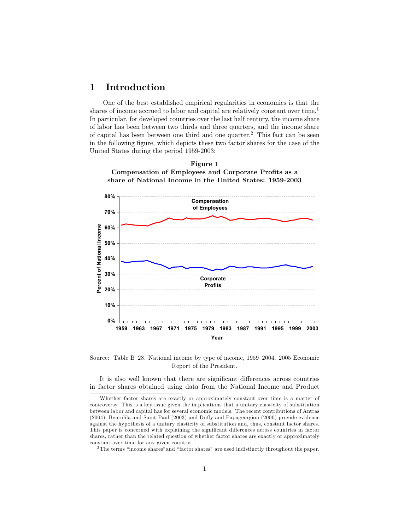# Introduction  $\mathbf{1}$

One of the best established empirical regularities in economics is that the shares of income accrued to labor and capital are relatively constant over time.<sup>1</sup> In particular, for developed countries over the last half century, the income share of labor has been between two thirds and three quarters, and the income share of capital has been between one third and one quarter.<sup>2</sup> This fact can be seen in the following figure, which depicts these two factor shares for the case of the United States during the period 1959-2003:





Source: Table B-28. National income by type of income, 1959-2004. 2005 Economic Report of the President.

It is also well known that there are significant differences across countries in factor shares obtained using data from the National Income and Product

<sup>&</sup>lt;sup>1</sup>Whether factor shares are exactly or approximately constant over time is a matter of controversy. This is a key issue given the implications that a unitary elasticity of substitution between labor and capital has for several economic models. The recent contributions of Antras (2004), Bentolila and Saint-Paul (2003) and Duffy and Papageorgiou (2000) provide evidence against the hypothesis of a unitary elasticity of substitution and, thus, constant factor shares. This paper is concerned with explaining the significant differences across countries in factor shares, rather than the related question of whether factor shares are exactly or approximately constant over time for any given country.

 $^2\mathrm{The\ terms}$  "income shares" and "factor shares" are used indistinctly throughout the paper.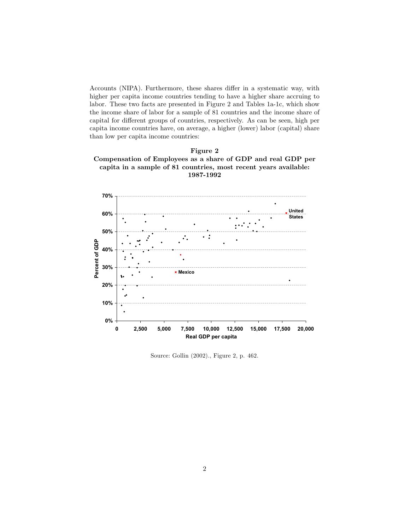Accounts (NIPA). Furthermore, these shares differ in a systematic way, with higher per capita income countries tending to have a higher share accruing to labor. These two facts are presented in Figure 2 and Tables 1a-1c, which show the income share of labor for a sample of 81 countries and the income share of capital for different groups of countries, respectively. As can be seen, high per capita income countries have, on average, a higher (lower) labor (capital) share than low per capita income countries:





Source: Gollin (2002)., Figure 2, p. 462.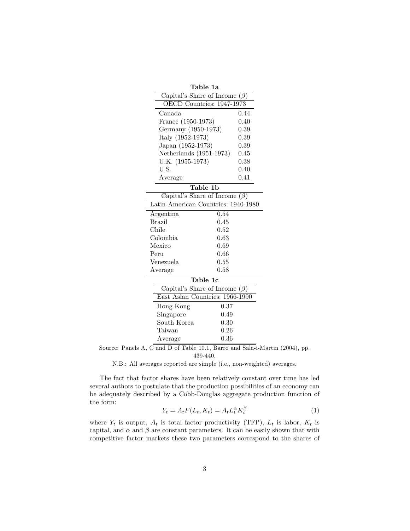| Table 1a                            |                   |  |  |  |
|-------------------------------------|-------------------|--|--|--|
| Capital's Share of Income $(\beta)$ |                   |  |  |  |
| OECD Countries: 1947-1973           |                   |  |  |  |
| Canada                              | 0.44              |  |  |  |
| France (1950-1973)                  | 0.40              |  |  |  |
| Germany (1950-1973)                 | 0.39              |  |  |  |
| Italy (1952-1973)                   | 0.39              |  |  |  |
| Japan (1952-1973)                   | 0.39              |  |  |  |
| Netherlands (1951-1973)             | 0.45              |  |  |  |
| U.K. (1955-1973)                    | 0.38              |  |  |  |
| U.S.                                | 0.40              |  |  |  |
| Average                             | 0.41              |  |  |  |
| Table 1b                            |                   |  |  |  |
| Capital's Share of Income           | $(\beta)$         |  |  |  |
| Latin American Countries: 1940-1980 |                   |  |  |  |
| Argentina                           | 0.54              |  |  |  |
| <b>Brazil</b>                       | 0.45              |  |  |  |
| Chile                               | 0.52              |  |  |  |
| Colombia                            | 0.63              |  |  |  |
| Mexico                              | 0.69              |  |  |  |
| Peru                                | 0.66              |  |  |  |
| Venezuela                           | 0.55              |  |  |  |
| Average                             | 0.58              |  |  |  |
| Table 1c                            |                   |  |  |  |
| Capital's Share of Income $(\beta)$ |                   |  |  |  |
| East Asian Countries: 1966-1990     |                   |  |  |  |
| Hong Kong                           | $\overline{0.37}$ |  |  |  |
| Singapore                           | 0.49              |  |  |  |
| South Korea                         | 0.30              |  |  |  |
| Taiwan                              | 0.26              |  |  |  |
| Average                             | 0.36              |  |  |  |

Source: Panels A,  $\overline{C}$  and D of Table 10.1, Barro and Sala-i-Martin (2004), pp. 439-440.

N.B.: All averages reported are simple (i.e., non-weighted) averages.

The fact that factor shares have been relatively constant over time has led several authors to postulate that the production possibilities of an economy can be adequately described by a Cobb-Douglas aggregate production function of the form:  $\,$ 

$$
Y_t = A_t F(L_t, K_t) = A_t L_t^{\alpha} K_t^{\beta}
$$
\n<sup>(1)</sup>

where  $Y_t$  is output,  $A_t$  is total factor productivity (TFP),  $L_t$  is labor,  $K_t$  is capital, and  $\alpha$  and  $\beta$  are constant parameters. It can be easily shown that with competitive factor markets these two parameters correspond to the shares of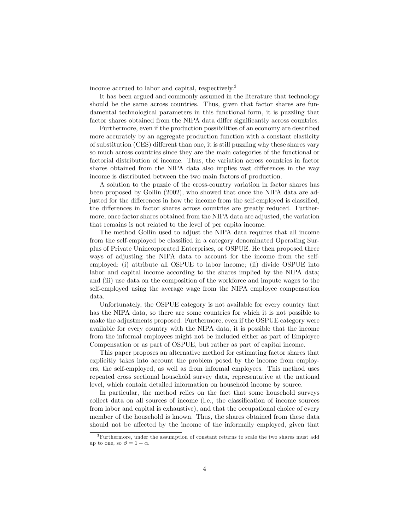income accrued to labor and capital, respectively.<sup>3</sup>

It has been argued and commonly assumed in the literature that technology should be the same across countries. Thus, given that factor shares are fundamental technological parameters in this functional form, it is puzzling that factor shares obtained from the NIPA data differ significantly across countries.

Furthermore, even if the production possibilities of an economy are described more accurately by an aggregate production function with a constant elasticity of substitution (CES) different than one, it is still puzzling why these shares vary so much across countries since they are the main categories of the functional or factorial distribution of income. Thus, the variation across countries in factor shares obtained from the NIPA data also implies vast differences in the way income is distributed between the two main factors of production.

A solution to the puzzle of the cross-country variation in factor shares has been proposed by Gollin (2002), who showed that once the NIPA data are adjusted for the differences in how the income from the self-employed is classified, the differences in factor shares across countries are greatly reduced. Furthermore, once factor shares obtained from the NIPA data are adjusted, the variation that remains is not related to the level of per capita income.

The method Gollin used to adjust the NIPA data requires that all income from the self-employed be classified in a category denominated Operating Surplus of Private Unincorporated Enterprises, or OSPUE. He then proposed three ways of adjusting the NIPA data to account for the income from the selfemployed: (i) attribute all OSPUE to labor income; (ii) divide OSPUE into labor and capital income according to the shares implied by the NIPA data; and (iii) use data on the composition of the workforce and impute wages to the self-employed using the average wage from the NIPA employee compensation data.

Unfortunately, the OSPUE category is not available for every country that has the NIPA data, so there are some countries for which it is not possible to make the adjustments proposed. Furthermore, even if the OSPUE category were available for every country with the NIPA data, it is possible that the income from the informal employees might not be included either as part of Employee Compensation or as part of OSPUE, but rather as part of capital income.

This paper proposes an alternative method for estimating factor shares that explicitly takes into account the problem posed by the income from employers, the self-employed, as well as from informal employees. This method uses repeated cross sectional household survey data, representative at the national level, which contain detailed information on household income by source.

In particular, the method relies on the fact that some household surveys collect data on all sources of income (i.e., the classification of income sources from labor and capital is exhaustive), and that the occupational choice of every member of the household is known. Thus, the shares obtained from these data should not be affected by the income of the informally employed, given that

<sup>&</sup>lt;sup>3</sup> Furthermore, under the assumption of constant returns to scale the two shares must add up to one, so  $\beta = 1 - \alpha$ .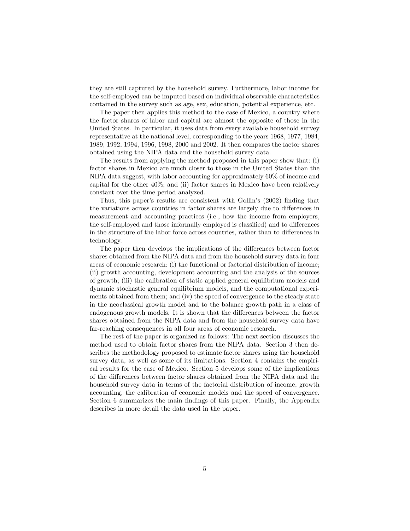they are still captured by the household survey. Furthermore, labor income for the self-employed can be imputed based on individual observable characteristics contained in the survey such as age, sex, education, potential experience, etc.

The paper then applies this method to the case of Mexico, a country where the factor shares of labor and capital are almost the opposite of those in the United States. In particular, it uses data from every available household survey representative at the national level, corresponding to the years 1968, 1977, 1984, 1989, 1992, 1994, 1996, 1998, 2000 and 2002. It then compares the factor shares obtained using the NIPA data and the household survey data.

The results from applying the method proposed in this paper show that: (i) factor shares in Mexico are much closer to those in the United States than the NIPA data suggest, with labor accounting for approximately 60% of income and capital for the other  $40\%$ ; and (ii) factor shares in Mexico have been relatively constant over the time period analyzed.

Thus, this paper's results are consistent with Gollin's (2002) finding that the variations across countries in factor shares are largely due to differences in measurement and accounting practices (i.e., how the income from employers, the self-employed and those informally employed is classified) and to differences in the structure of the labor force across countries, rather than to differences in technology.

The paper then develops the implications of the differences between factor shares obtained from the NIPA data and from the household survey data in four areas of economic research: (i) the functional or factorial distribution of income; (ii) growth accounting, development accounting and the analysis of the sources of growth; (iii) the calibration of static applied general equilibrium models and dynamic stochastic general equilibrium models, and the computational experiments obtained from them; and (iv) the speed of convergence to the steady state in the neoclassical growth model and to the balance growth path in a class of endogenous growth models. It is shown that the differences between the factor shares obtained from the NIPA data and from the household survey data have far-reaching consequences in all four areas of economic research.

The rest of the paper is organized as follows: The next section discusses the method used to obtain factor shares from the NIPA data. Section 3 then describes the methodology proposed to estimate factor shares using the household survey data, as well as some of its limitations. Section 4 contains the empirical results for the case of Mexico. Section 5 develops some of the implications of the differences between factor shares obtained from the NIPA data and the household survey data in terms of the factorial distribution of income, growth accounting, the calibration of economic models and the speed of convergence. Section 6 summarizes the main findings of this paper. Finally, the Appendix describes in more detail the data used in the paper.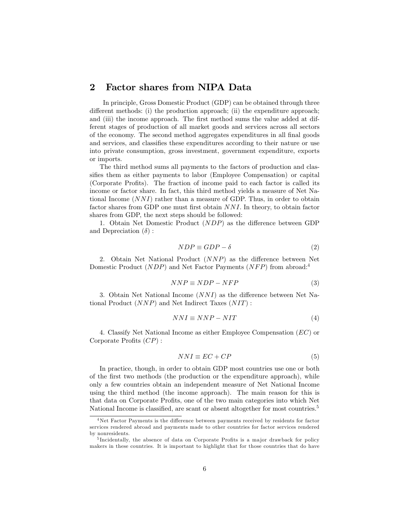### **Factor shares from NIPA Data**  $\bf{2}$

In principle, Gross Domestic Product (GDP) can be obtained through three different methods: (i) the production approach; (ii) the expenditure approach; and (iii) the income approach. The first method sums the value added at different stages of production of all market goods and services across all sectors of the economy. The second method aggregates expenditures in all final goods and services, and classifies these expenditures according to their nature or use into private consumption, gross investment, government expenditure, exports or imports.

The third method sums all payments to the factors of production and classifies them as either payments to labor (Employee Compensation) or capital (Corporate Profits). The fraction of income paid to each factor is called its income or factor share. In fact, this third method yields a measure of Net National Income  $(NNI)$  rather than a measure of GDP. Thus, in order to obtain factor shares from GDP one must first obtain NNI. In theory, to obtain factor shares from GDP, the next steps should be followed:

1. Obtain Net Domestic Product (NDP) as the difference between GDP and Depreciation  $(\delta)$ :

$$
NDP \equiv GDP - \delta \tag{2}
$$

2. Obtain Net National Product  $(NNP)$  as the difference between Net Domestic Product (*NDP*) and Net Factor Payments (*NFP*) from abroad:<sup>4</sup>

$$
NNP \equiv NDP - NFP \tag{3}
$$

3. Obtain Net National Income  $(NNI)$  as the difference between Net National Product  $(NNP)$  and Net Indirect Taxes  $(NIT)$ :

$$
NNI \equiv NNP - NIT \tag{4}
$$

4. Classify Net National Income as either Employee Compensation  $(EC)$  or Corporate Profits  $(CP)$ :

$$
NNI \equiv EC + CP \tag{5}
$$

In practice, though, in order to obtain GDP most countries use one or both of the first two methods (the production or the expenditure approach), while only a few countries obtain an independent measure of Net National Income using the third method (the income approach). The main reason for this is that data on Corporate Profits, one of the two main categories into which Net National Income is classified, are scant or absent altogether for most countries.<sup>5</sup>

<sup>&</sup>lt;sup>4</sup>Net Factor Payments is the difference between payments received by residents for factor services rendered abroad and payments made to other countries for factor services rendered by nonresidents.

<sup>&</sup>lt;sup>5</sup>Incidentally, the absence of data on Corporate Profits is a major drawback for policy makers in these countries. It is important to highlight that for those countries that do have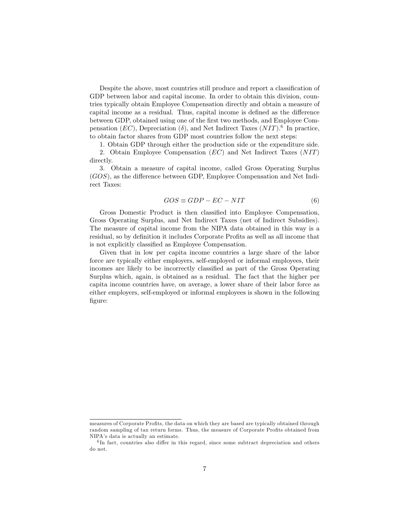Despite the above, most countries still produce and report a classification of GDP between labor and capital income. In order to obtain this division, countries typically obtain Employee Compensation directly and obtain a measure of capital income as a residual. Thus, capital income is defined as the difference between GDP, obtained using one of the first two methods, and Employee Compensation (EC), Depreciation ( $\delta$ ), and Net Indirect Taxes (NIT).<sup>6</sup> In practice, to obtain factor shares from GDP most countries follow the next steps:

1. Obtain GDP through either the production side or the expenditure side.

2. Obtain Employee Compensation  $(EC)$  and Net Indirect Taxes  $(NIT)$ directly.

3. Obtain a measure of capital income, called Gross Operating Surplus  $(GOS)$ , as the difference between GDP, Employee Compensation and Net Indirect Taxes:

$$
GOS \equiv GDP - EC - NIT \tag{6}
$$

Gross Domestic Product is then classified into Employee Compensation, Gross Operating Surplus, and Net Indirect Taxes (net of Indirect Subsidies). The measure of capital income from the NIPA data obtained in this way is a residual, so by definition it includes Corporate Profits as well as all income that is not explicitly classified as Employee Compensation.

Given that in low per capita income countries a large share of the labor force are typically either employers, self-employed or informal employees, their incomes are likely to be incorrectly classified as part of the Gross Operating Surplus which, again, is obtained as a residual. The fact that the higher per capita income countries have, on average, a lower share of their labor force as either employers, self-employed or informal employees is shown in the following figure:

measures of Corporate Profits, the data on which they are based are typically obtained through random sampling of tax return forms. Thus, the measure of Corporate Profits obtained from NIPA's data is actually an estimate.

 ${}^{6}$ In fact, countries also differ in this regard, since some subtract depreciation and others do not.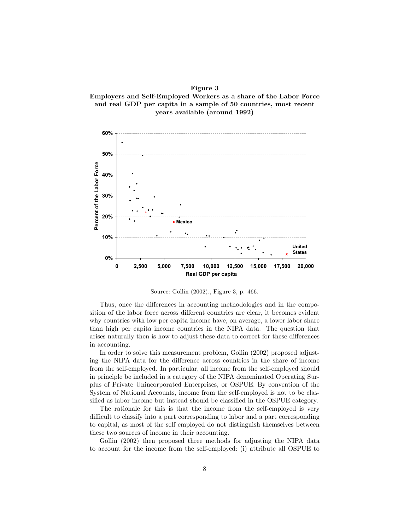Figure 3 Employers and Self-Employed Workers as a share of the Labor Force and real GDP per capita in a sample of 50 countries, most recent years available (around 1992)



Source: Gollin (2002)., Figure 3, p. 466.

Thus, once the differences in accounting methodologies and in the composition of the labor force across different countries are clear, it becomes evident why countries with low per capita income have, on average, a lower labor share than high per capita income countries in the NIPA data. The question that arises naturally then is how to adjust these data to correct for these differences in accounting.

In order to solve this measurement problem, Gollin (2002) proposed adjusting the NIPA data for the difference across countries in the share of income from the self-employed. In particular, all income from the self-employed should in principle be included in a category of the NIPA denominated Operating Surplus of Private Unincorporated Enterprises, or OSPUE. By convention of the System of National Accounts, income from the self-employed is not to be classified as labor income but instead should be classified in the OSPUE category.

The rationale for this is that the income from the self-employed is very difficult to classify into a part corresponding to labor and a part corresponding to capital, as most of the self employed do not distinguish themselves between these two sources of income in their accounting.

Gollin (2002) then proposed three methods for adjusting the NIPA data to account for the income from the self-employed: (i) attribute all OSPUE to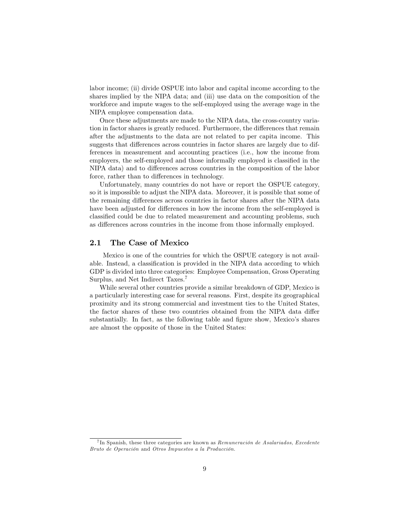labor income; (ii) divide OSPUE into labor and capital income according to the shares implied by the NIPA data; and (iii) use data on the composition of the workforce and impute wages to the self-employed using the average wage in the NIPA employee compensation data.

Once these adjustments are made to the NIPA data, the cross-country variation in factor shares is greatly reduced. Furthermore, the differences that remain after the adjustments to the data are not related to per capita income. This suggests that differences across countries in factor shares are largely due to differences in measurement and accounting practices (i.e., how the income from employers, the self-employed and those informally employed is classified in the NIPA data) and to differences across countries in the composition of the labor force, rather than to differences in technology.

Unfortunately, many countries do not have or report the OSPUE category, so it is impossible to adjust the NIPA data. Moreover, it is possible that some of the remaining differences across countries in factor shares after the NIPA data have been adjusted for differences in how the income from the self-employed is classified could be due to related measurement and accounting problems, such as differences across countries in the income from those informally employed.

#### $2.1$ The Case of Mexico

Mexico is one of the countries for which the OSPUE category is not available. Instead, a classification is provided in the NIPA data according to which GDP is divided into three categories: Employee Compensation, Gross Operating Surplus, and Net Indirect Taxes.<sup>7</sup>

While several other countries provide a similar breakdown of GDP, Mexico is a particularly interesting case for several reasons. First, despite its geographical proximity and its strong commercial and investment ties to the United States, the factor shares of these two countries obtained from the NIPA data differ substantially. In fact, as the following table and figure show, Mexico's shares are almost the opposite of those in the United States:

<sup>&</sup>lt;sup>7</sup>In Spanish, these three categories are known as Remuneración de Asalariados, Excedente Bruto de Operación and Otros Impuestos a la Producción.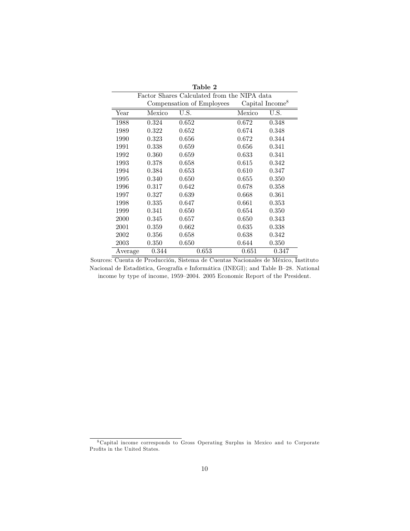| Table 2                                     |        |                    |        |       |
|---------------------------------------------|--------|--------------------|--------|-------|
| Factor Shares Calculated from the NIPA data |        |                    |        |       |
| Compensation of Employees                   |        | Capital Income $8$ |        |       |
| Year                                        | Mexico | U.S.               | Mexico | U.S.  |
| 1988                                        | 0.324  | 0.652              | 0.672  | 0.348 |
| 1989                                        | 0.322  | 0.652              | 0.674  | 0.348 |
| 1990                                        | 0.323  | 0.656              | 0.672  | 0.344 |
| 1991                                        | 0.338  | 0.659              | 0.656  | 0.341 |
| 1992                                        | 0.360  | 0.659              | 0.633  | 0.341 |
| 1993                                        | 0.378  | 0.658              | 0.615  | 0.342 |
| 1994                                        | 0.384  | 0.653              | 0.610  | 0.347 |
| 1995                                        | 0.340  | 0.650              | 0.655  | 0.350 |
| 1996                                        | 0.317  | 0.642              | 0.678  | 0.358 |
| 1997                                        | 0.327  | 0.639              | 0.668  | 0.361 |
| 1998                                        | 0.335  | 0.647              | 0.661  | 0.353 |
| 1999                                        | 0.341  | 0.650              | 0.654  | 0.350 |
| 2000                                        | 0.345  | 0.657              | 0.650  | 0.343 |
| 2001                                        | 0.359  | 0.662              | 0.635  | 0.338 |
| 2002                                        | 0.356  | 0.658              | 0.638  | 0.342 |
| 2003                                        | 0.350  | 0.650              | 0.644  | 0.350 |
| Average                                     | 0.344  | 0.653              | 0.651  | 0.347 |

Sources: Cuenta de Producción, Sistema de Cuentas Nacionales de México, Instituto Nacional de Estadística, Geografía e Informática (INEGI); and Table B-28. National income by type of income, 1959–2004. 2005 Economic Report of the President.

<sup>&</sup>lt;sup>8</sup> Capital income corresponds to Gross Operating Surplus in Mexico and to Corporate Profits in the United States.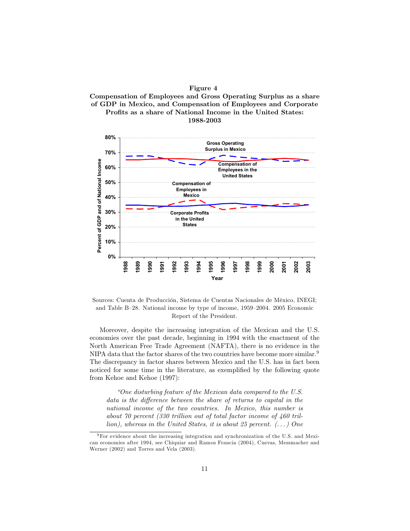



Sources: Cuenta de Producción, Sistema de Cuentas Nacionales de México, INEGI; and Table B-28. National income by type of income, 1959–2004. 2005 Economic Report of the President.

Moreover, despite the increasing integration of the Mexican and the U.S. economies over the past decade, beginning in 1994 with the enactment of the North American Free Trade Agreement (NAFTA), there is no evidence in the NIPA data that the factor shares of the two countries have become more similar.<sup>9</sup> The discrepancy in factor shares between Mexico and the U.S. has in fact been noticed for some time in the literature, as exemplified by the following quote from Kehoe and Kehoe (1997):

"One disturbing feature of the Mexican data compared to the U.S." data is the difference between the share of returns to capital in the national income of the two countries. In Mexico, this number is about 70 percent (330 trillion out of total factor income of  $460$  trillion), whereas in the United States, it is about 25 percent.  $(\dots)$  One

 $9$  For evidence about the increasing integration and synchronization of the U.S. and Mexican economies after 1994, see Chiquiar and Ramos Francia (2004), Cuevas, Messmacher and Werner (2002) and Torres and Vela (2003).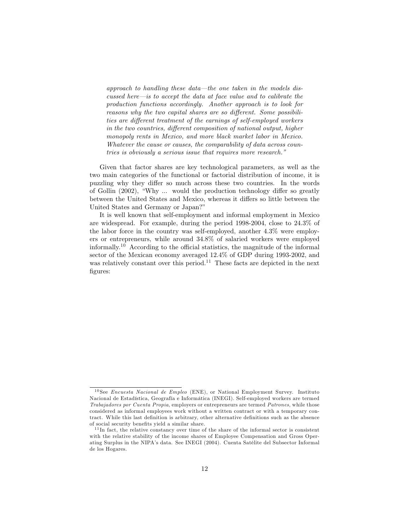approach to handling these data—the one taken in the models discussed here—is to accept the data at face value and to calibrate the production functions accordingly. Another approach is to look for reasons why the two capital shares are so different. Some possibilities are different treatment of the earnings of self-employed workers in the two countries, different composition of national output, higher monopoly rents in Mexico, and more black market labor in Mexico. Whatever the cause or causes, the comparability of data across countries is obviously a serious issue that requires more research."

Given that factor shares are key technological parameters, as well as the two main categories of the functional or factorial distribution of income, it is puzzling why they differ so much across these two countries. In the words of Gollin (2002), "Why ... would the production technology differ so greatly between the United States and Mexico, whereas it differs so little between the United States and Germany or Japan?"

It is well known that self-employment and informal employment in Mexico are widespread. For example, during the period  $1998-2004$ , close to  $24.3\%$  of the labor force in the country was self-employed, another  $4.3\%$  were employers or entrepreneurs, while around 34.8% of salaried workers were employed informally.<sup>10</sup> According to the official statistics, the magnitude of the informal sector of the Mexican economy averaged 12.4% of GDP during 1993-2002, and was relatively constant over this period.<sup>11</sup> These facts are depicted in the next figures:

<sup>&</sup>lt;sup>10</sup>See *Encuesta Nacional de Empleo* (ENE), or National Employment Survey. Instituto Nacional de Estadística, Geografía e Informática (INEGI). Self-employed workers are termed Trabajadores por Cuenta Propia, employers or entrepreneurs are termed Patrones, while those considered as informal employees work without a written contract or with a temporary contract. While this last definition is arbitrary, other alternative definitions such as the absence of social security benefits yield a similar share.

 $11$ In fact, the relative constancy over time of the share of the informal sector is consistent with the relative stability of the income shares of Employee Compensation and Gross Operating Surplus in the NIPA's data. See INEGI (2004). Cuenta Satélite del Subsector Informal de los Hogares.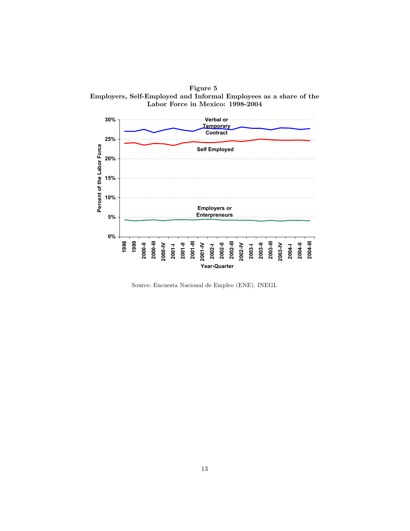Figure 5 Employers, Self-Employed and Informal Employees as a share of the Labor Force in Mexico: 1998-2004



Source: Encuesta Nacional de Empleo (ENE). INEGI.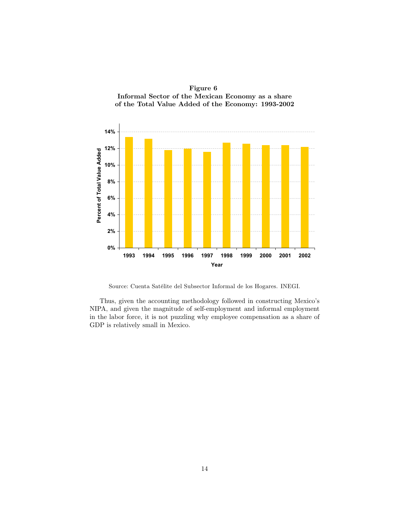

Figure 6 Informal Sector of the Mexican Economy as a share

Source: Cuenta Satélite del Subsector Informal de los Hogares. INEGI.

Thus, given the accounting methodology followed in constructing Mexico's NIPA, and given the magnitude of self-employment and informal employment in the labor force, it is not puzzling why employee compensation as a share of GDP is relatively small in Mexico.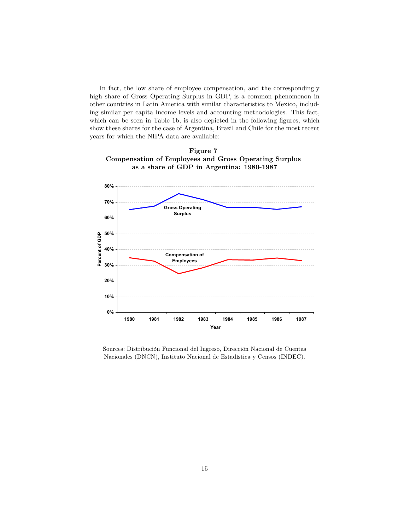In fact, the low share of employee compensation, and the correspondingly high share of Gross Operating Surplus in GDP, is a common phenomenon in other countries in Latin America with similar characteristics to Mexico, including similar per capita income levels and accounting methodologies. This fact, which can be seen in Table 1b, is also depicted in the following figures, which show these shares for the case of Argentina, Brazil and Chile for the most recent years for which the NIPA data are available:





Sources: Distribución Funcional del Ingreso, Dirección Nacional de Cuentas Nacionales (DNCN), Instituto Nacional de Estadística y Censos (INDEC).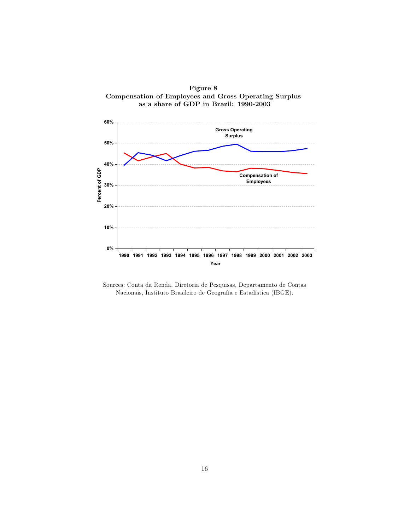



Sources: Conta da Renda, Diretoria de Pesquisas, Departamento de Contas Nacionais, Instituto Brasileiro de Geografía e Estadística (IBGE).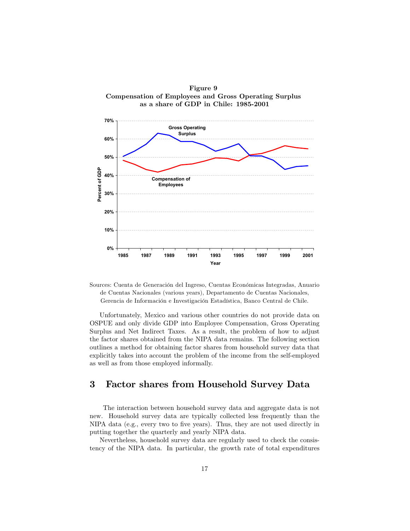

Sources: Cuenta de Generación del Ingreso, Cuentas Económicas Integradas, Anuario de Cuentas Nacionales (various years), Departamento de Cuentas Nacionales, Gerencia de Información e Investigación Estadística, Banco Central de Chile.

Unfortunately, Mexico and various other countries do not provide data on OSPUE and only divide GDP into Employee Compensation, Gross Operating Surplus and Net Indirect Taxes. As a result, the problem of how to adjust the factor shares obtained from the NIPA data remains. The following section outlines a method for obtaining factor shares from household survey data that explicitly takes into account the problem of the income from the self-employed as well as from those employed informally.

## 3 Factor shares from Household Survey Data

The interaction between household survey data and aggregate data is not new. Household survey data are typically collected less frequently than the NIPA data (e.g., every two to five years). Thus, they are not used directly in putting together the quarterly and yearly NIPA data.

Nevertheless, household survey data are regularly used to check the consistency of the NIPA data. In particular, the growth rate of total expenditures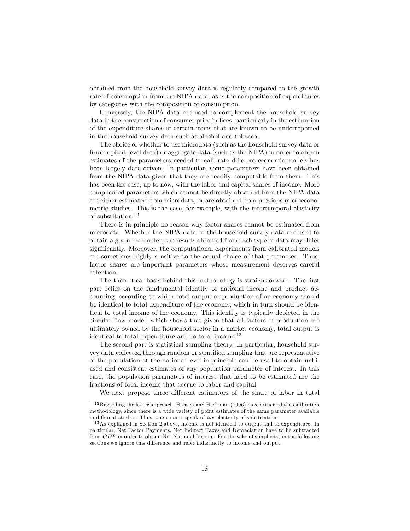obtained from the household survey data is regularly compared to the growth rate of consumption from the NIPA data, as is the composition of expenditures by categories with the composition of consumption.

Conversely, the NIPA data are used to complement the household survey data in the construction of consumer price indices, particularly in the estimation of the expenditure shares of certain items that are known to be underreported in the household survey data such as alcohol and tobacco.

The choice of whether to use microdata (such as the household survey data or firm or plant-level data) or aggregate data (such as the NIPA) in order to obtain estimates of the parameters needed to calibrate different economic models has been largely data-driven. In particular, some parameters have been obtained from the NIPA data given that they are readily computable from them. This has been the case, up to now, with the labor and capital shares of income. More complicated parameters which cannot be directly obtained from the NIPA data are either estimated from microdata, or are obtained from previous microeconometric studies. This is the case, for example, with the intertemporal elasticity of substitution.<sup>12</sup>

There is in principle no reason why factor shares cannot be estimated from microdata. Whether the NIPA data or the household survey data are used to obtain a given parameter, the results obtained from each type of data may differ significantly. Moreover, the computational experiments from calibrated models are sometimes highly sensitive to the actual choice of that parameter. Thus, factor shares are important parameters whose measurement deserves careful attention.

The theoretical basis behind this methodology is straightforward. The first part relies on the fundamental identity of national income and product accounting, according to which total output or production of an economy should be identical to total expenditure of the economy, which in turn should be identical to total income of the economy. This identity is typically depicted in the circular flow model, which shows that given that all factors of production are ultimately owned by the household sector in a market economy, total output is identical to total expenditure and to total income.<sup>13</sup>

The second part is statistical sampling theory. In particular, household survey data collected through random or stratified sampling that are representative of the population at the national level in principle can be used to obtain unbiased and consistent estimates of any population parameter of interest. In this case, the population parameters of interest that need to be estimated are the fractions of total income that accrue to labor and capital.

We next propose three different estimators of the share of labor in total

 $12$ Regarding the latter approach, Hansen and Heckman (1996) have criticized the calibration methodology, since there is a wide variety of point estimates of the same parameter available in different studies. Thus, one cannot speak of the elasticity of substitution.

 $13$  As explained in Section 2 above, income is not identical to output and to expenditure. In particular, Net Factor Payments, Net Indirect Taxes and Depreciation have to be subtracted from GDP in order to obtain Net National Income. For the sake of simplicity, in the following sections we ignore this difference and refer indistinctly to income and output.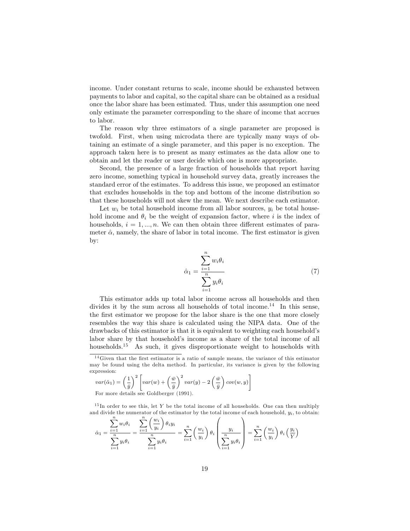income. Under constant returns to scale, income should be exhausted between payments to labor and capital, so the capital share can be obtained as a residual once the labor share has been estimated. Thus, under this assumption one need only estimate the parameter corresponding to the share of income that accrues to labor.

The reason why three estimators of a single parameter are proposed is twofold. First, when using microdata there are typically many ways of obtaining an estimate of a single parameter, and this paper is no exception. The approach taken here is to present as many estimates as the data allow one to obtain and let the reader or user decide which one is more appropriate.

Second, the presence of a large fraction of households that report having zero income, something typical in household survey data, greatly increases the standard error of the estimates. To address this issue, we proposed an estimator that excludes households in the top and bottom of the income distribution so that these households will not skew the mean. We next describe each estimator.

Let  $w_i$  be total household income from all labor sources,  $y_i$  be total household income and  $\theta_i$  be the weight of expansion factor, where i is the index of households,  $i = 1, ..., n$ . We can then obtain three different estimates of parameter  $\hat{\alpha}$ , namely, the share of labor in total income. The first estimator is given by:

$$
\hat{\alpha}_1 = \frac{\sum_{i=1}^n w_i \theta_i}{\sum_{i=1}^n y_i \theta_i} \tag{7}
$$

This estimator adds up total labor income across all households and then divides it by the sum across all households of total income.<sup>14</sup> In this sense, the first estimator we propose for the labor share is the one that more closely resembles the way this share is calculated using the NIPA data. One of the drawbacks of this estimator is that it is equivalent to weighting each household's labor share by that household's income as a share of the total income of all households.<sup>15</sup> As such, it gives disproportionate weight to households with

$$
var(\hat{\alpha}_1) = \left(\frac{1}{\bar{y}}\right)^2 \left[ var(w) + \left(\frac{\bar{w}}{\bar{y}}\right)^2 var(y) - 2\left(\frac{\bar{w}}{\bar{y}}\right) cov(w, y)\right]
$$
  
For more details are Goldbors (1001).

For more details see Goldberger (1991).

 $15$ In order to see this, let Y be the total income of all households. One can then multiply and divide the numerator of the estimator by the total income of each household,  $y_i$ , to obtain:

$$
\hat{\alpha}_1 = \frac{\sum_{i=1} w_i \theta_i}{\sum_{i=1}^n y_i \theta_i} = \frac{\sum_{i=1} \left(\frac{w_i}{y_i}\right) \theta_i y_i}{\sum_{i=1}^n y_i \theta_i} = \sum_{i=1}^n \left(\frac{w_i}{y_i}\right) \theta_i \left(\frac{y_i}{\sum_{i=1}^n y_i \theta_i}\right) = \sum_{i=1}^n \left(\frac{w_i}{y_i}\right) \theta_i \left(\frac{y_i}{Y}\right)
$$

 $14$  Given that the first estimator is a ratio of sample means, the variance of this estimator may be found using the delta method. In particular, its variance is given by the following expression: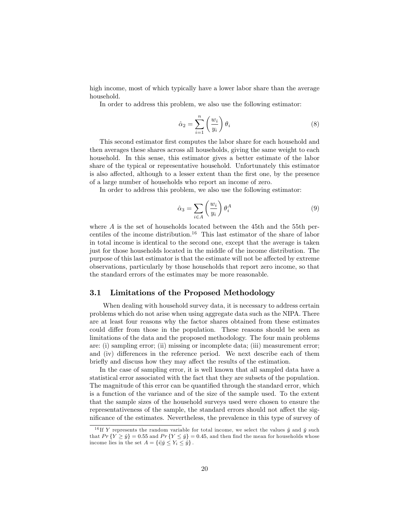high income, most of which typically have a lower labor share than the average household.

In order to address this problem, we also use the following estimator:

$$
\hat{\alpha}_2 = \sum_{i=1}^n \left(\frac{w_i}{y_i}\right) \theta_i \tag{8}
$$

This second estimator first computes the labor share for each household and then averages these shares across all households, giving the same weight to each household. In this sense, this estimator gives a better estimate of the labor share of the typical or representative household. Unfortunately this estimator is also affected, although to a lesser extent than the first one, by the presence of a large number of households who report an income of zero.

In order to address this problem, we also use the following estimator:

$$
\hat{\alpha}_3 = \sum_{i \in A} \left(\frac{w_i}{y_i}\right) \theta_i^A \tag{9}
$$

where  $\vec{A}$  is the set of households located between the 45th and the 55th percentiles of the income distribution.<sup>16</sup> This last estimator of the share of labor in total income is identical to the second one, except that the average is taken just for those households located in the middle of the income distribution. The purpose of this last estimator is that the estimate will not be affected by extreme observations, particularly by those households that report zero income, so that the standard errors of the estimates may be more reasonable.

#### $3.1$ Limitations of the Proposed Methodology

When dealing with household survey data, it is necessary to address certain problems which do not arise when using aggregate data such as the NIPA. There are at least four reasons why the factor shares obtained from these estimates could differ from those in the population. These reasons should be seen as limitations of the data and the proposed methodology. The four main problems are: (i) sampling error; (ii) missing or incomplete data; (iii) measurement error; and (iv) differences in the reference period. We next describe each of them briefly and discuss how they may affect the results of the estimation.

In the case of sampling error, it is well known that all sampled data have a statistical error associated with the fact that they are subsets of the population. The magnitude of this error can be quantified through the standard error, which is a function of the variance and of the size of the sample used. To the extent that the sample sizes of the household surveys used were chosen to ensure the representativeness of the sample, the standard errors should not affect the significance of the estimates. Nevertheless, the prevalence in this type of survey of

<sup>&</sup>lt;sup>16</sup> If Y represents the random variable for total income, we select the values  $\hat{y}$  and  $\check{y}$  such that  $Pr\{Y \geq \hat{y}\} = 0.55$  and  $Pr\{Y \leq \hat{y}\} = 0.45$ , and then find the mean for households whose income lies in the set  $A = \{i | \check{y} \le Y_i \le \hat{y}\}.$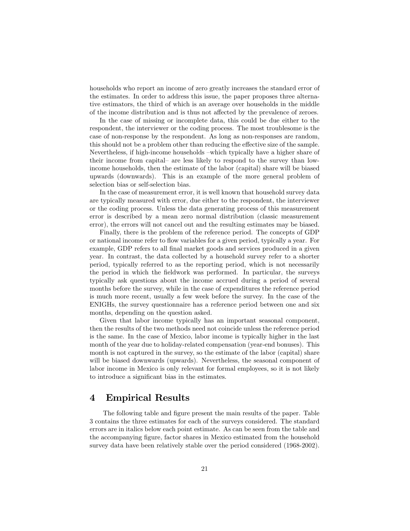households who report an income of zero greatly increases the standard error of the estimates. In order to address this issue, the paper proposes three alternative estimators, the third of which is an average over households in the middle of the income distribution and is thus not affected by the prevalence of zeroes.

In the case of missing or incomplete data, this could be due either to the respondent, the interviewer or the coding process. The most troublesome is the case of non-response by the respondent. As long as non-responses are random, this should not be a problem other than reducing the effective size of the sample. Nevertheless, if high-income households -which typically have a higher share of their income from capital- are less likely to respond to the survey than lowincome households, then the estimate of the labor (capital) share will be biased upwards (downwards). This is an example of the more general problem of selection bias or self-selection bias.

In the case of measurement error, it is well known that household survey data are typically measured with error, due either to the respondent, the interviewer or the coding process. Unless the data generating process of this measurement error is described by a mean zero normal distribution (classic measurement error), the errors will not cancel out and the resulting estimates may be biased.

Finally, there is the problem of the reference period. The concepts of GDP or national income refer to flow variables for a given period, typically a year. For example, GDP refers to all final market goods and services produced in a given year. In contrast, the data collected by a household survey refer to a shorter period, typically referred to as the reporting period, which is not necessarily the period in which the fieldwork was performed. In particular, the surveys typically ask questions about the income accrued during a period of several months before the survey, while in the case of expenditures the reference period is much more recent, usually a few week before the survey. In the case of the ENIGHs, the survey questionnaire has a reference period between one and six months, depending on the question asked.

Given that labor income typically has an important seasonal component, then the results of the two methods need not coincide unless the reference period is the same. In the case of Mexico, labor income is typically higher in the last month of the year due to holiday-related compensation (year-end bonuses). This month is not captured in the survey, so the estimate of the labor (capital) share will be biased downwards (upwards). Nevertheless, the seasonal component of labor income in Mexico is only relevant for formal employees, so it is not likely to introduce a significant bias in the estimates.

# **Empirical Results**  $\boldsymbol{4}$

The following table and figure present the main results of the paper. Table 3 contains the three estimates for each of the surveys considered. The standard errors are in italics below each point estimate. As can be seen from the table and the accompanying figure, factor shares in Mexico estimated from the household survey data have been relatively stable over the period considered (1968-2002).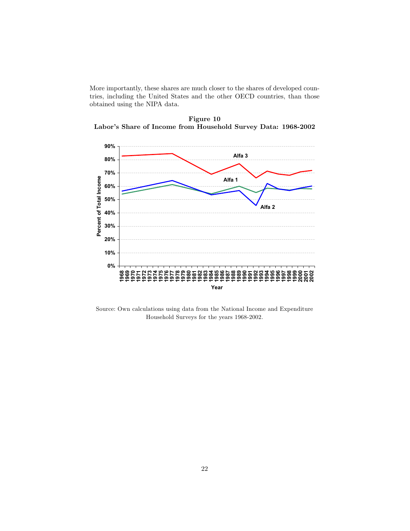More importantly, these shares are much closer to the shares of developed countries, including the United States and the other OECD countries, than those obtained using the NIPA data.



Figure 10 Labor's Share of Income from Household Survey Data: 1968-2002

Source: Own calculations using data from the National Income and Expenditure Household Surveys for the years  $1968\text{-}2002.$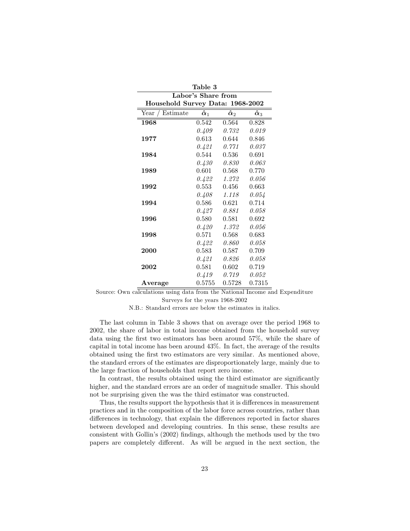| Table 3                          |                        |                               |                               |  |
|----------------------------------|------------------------|-------------------------------|-------------------------------|--|
| Labor's Share from               |                        |                               |                               |  |
| Household Survey Data: 1968-2002 |                        |                               |                               |  |
| Estimate<br>Year                 | $\pmb{\hat{\alpha}}_1$ | $\boldsymbol{\hat{\alpha}}_2$ | $\boldsymbol{\hat{\alpha}}_3$ |  |
| 1968                             | 0.542                  | 0.564                         | 0.828                         |  |
|                                  | 0.409                  | 0.732                         | 0.019                         |  |
| 1977                             | 0.613                  | 0.644                         | 0.846                         |  |
|                                  | 0.421                  | 0.771                         | 0.037                         |  |
| 1984                             | 0.544                  | 0.536                         | 0.691                         |  |
|                                  | 0.430                  | 0.830                         | 0.063                         |  |
| 1989                             | 0.601                  | 0.568                         | 0.770                         |  |
|                                  | 0.422                  | 1.272                         | 0.056                         |  |
| 1992                             | 0.553                  | 0.456                         | 0.663                         |  |
|                                  | 0.408                  | 1.118                         | 0.054                         |  |
| 1994                             | 0.586                  | 0.621                         | 0.714                         |  |
|                                  | 0.427                  | 0.881                         | 0.058                         |  |
| 1996                             | 0.580                  | 0.581                         | 0.692                         |  |
|                                  | 0.420                  | 1.372                         | 0.056                         |  |
| 1998                             | 0.571                  | 0.568                         | 0.683                         |  |
|                                  | 0.422                  | 0.860                         | 0.058                         |  |
| 2000                             | 0.583                  | 0.587                         | 0.709                         |  |
|                                  | 0.421                  | 0.826                         | 0.058                         |  |
| 2002                             | 0.581                  | 0.602                         | 0.719                         |  |
|                                  |                        | $0.419$ $0.719$               | 0.052                         |  |
| Average                          | 0.5755                 | 0.5728                        | 0.7315                        |  |

Source: Own calculations using data from the National Income and Expenditure Surveys for the years 1968-2002

N.B.: Standard errors are below the estimates in italics.

The last column in Table 3 shows that on average over the period 1968 to 2002, the share of labor in total income obtained from the household survey data using the first two estimators has been around  $57\%$ , while the share of capital in total income has been around 43%. In fact, the average of the results obtained using the first two estimators are very similar. As mentioned above, the standard errors of the estimates are disproportionately large, mainly due to the large fraction of households that report zero income.

In contrast, the results obtained using the third estimator are significantly higher, and the standard errors are an order of magnitude smaller. This should not be surprising given the was the third estimator was constructed.

Thus, the results support the hypothesis that it is differences in measurement practices and in the composition of the labor force across countries, rather than differences in technology, that explain the differences reported in factor shares between developed and developing countries. In this sense, these results are consistent with Gollin's (2002) findings, although the methods used by the two papers are completely different. As will be argued in the next section, the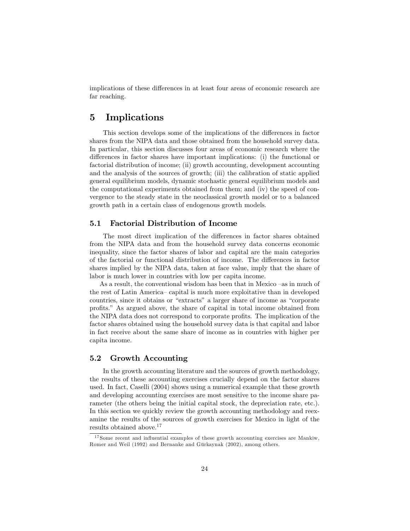implications of these differences in at least four areas of economic research are far reaching.

# $\overline{5}$ Implications

This section develops some of the implications of the differences in factor shares from the NIPA data and those obtained from the household survey data. In particular, this section discusses four areas of economic research where the differences in factor shares have important implications: (i) the functional or factorial distribution of income; (ii) growth accounting, development accounting and the analysis of the sources of growth; (iii) the calibration of static applied general equilibrium models, dynamic stochastic general equilibrium models and the computational experiments obtained from them; and (iv) the speed of convergence to the steady state in the neoclassical growth model or to a balanced growth path in a certain class of endogenous growth models.

#### $5.1$ **Factorial Distribution of Income**

The most direct implication of the differences in factor shares obtained from the NIPA data and from the household survey data concerns economic inequality, since the factor shares of labor and capital are the main categories of the factorial or functional distribution of income. The differences in factor shares implied by the NIPA data, taken at face value, imply that the share of labor is much lower in countries with low per capita income.

As a result, the conventional wisdom has been that in Mexico -as in much of the rest of Latin America-capital is much more exploitative than in developed countries, since it obtains or "extracts" a larger share of income as "corporate profits." As argued above, the share of capital in total income obtained from the NIPA data does not correspond to corporate profits. The implication of the factor shares obtained using the household survey data is that capital and labor in fact receive about the same share of income as in countries with higher per capita income.

#### $5.2$ **Growth Accounting**

In the growth accounting literature and the sources of growth methodology, the results of these accounting exercises crucially depend on the factor shares used. In fact, Caselli (2004) shows using a numerical example that these growth and developing accounting exercises are most sensitive to the income share parameter (the others being the initial capital stock, the depreciation rate, etc.). In this section we quickly review the growth accounting methodology and reexamine the results of the sources of growth exercises for Mexico in light of the results obtained above.<sup>17</sup>

 $^{17}$  Some recent and influential examples of these growth accounting exercises are Mankiw, Romer and Weil (1992) and Bernanke and Gürkaynak (2002), among others.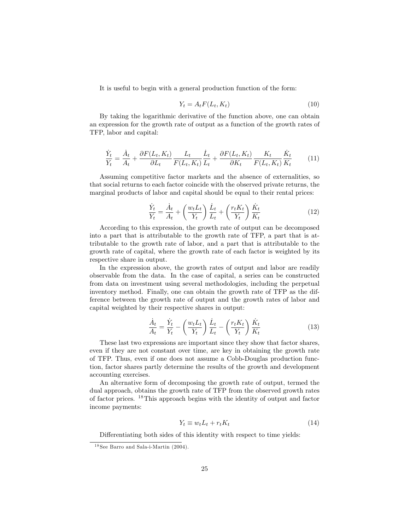It is useful to begin with a general production function of the form:

$$
Y_t = A_t F(L_t, K_t) \tag{10}
$$

By taking the logarithmic derivative of the function above, one can obtain an expression for the growth rate of output as a function of the growth rates of TFP, labor and capital:

$$
\frac{\dot{Y}_t}{Y_t} = \frac{\dot{A}_t}{A_t} + \frac{\partial F(L_t, K_t)}{\partial L_t} \frac{L_t}{F(L_t, K_t)} \frac{\dot{L}_t}{L_t} + \frac{\partial F(L_t, K_t)}{\partial K_t} \frac{K_t}{F(L_t, K_t)} \frac{\dot{K}_t}{K_t} \tag{11}
$$

Assuming competitive factor markets and the absence of externalities, so that social returns to each factor coincide with the observed private returns, the marginal products of labor and capital should be equal to their rental prices:

$$
\frac{\dot{Y}_t}{Y_t} = \frac{\dot{A}_t}{A_t} + \left(\frac{w_t L_t}{Y_t}\right) \frac{\dot{L}_t}{L_t} + \left(\frac{r_t K_t}{Y_t}\right) \frac{\dot{K}_t}{K_t}
$$
\n(12)

According to this expression, the growth rate of output can be decomposed into a part that is attributable to the growth rate of TFP, a part that is attributable to the growth rate of labor, and a part that is attributable to the growth rate of capital, where the growth rate of each factor is weighted by its respective share in output.

In the expression above, the growth rates of output and labor are readily observable from the data. In the case of capital, a series can be constructed from data on investment using several methodologies, including the perpetual inventory method. Finally, one can obtain the growth rate of TFP as the difference between the growth rate of output and the growth rates of labor and capital weighted by their respective shares in output:

$$
\frac{\dot{A}_t}{A_t} = \frac{\dot{Y}_t}{Y_t} - \left(\frac{w_t L_t}{Y_t}\right) \frac{\dot{L}_t}{L_t} - \left(\frac{r_t K_t}{Y_t}\right) \frac{\dot{K}_t}{K_t}
$$
\n(13)

These last two expressions are important since they show that factor shares, even if they are not constant over time, are key in obtaining the growth rate of TFP. Thus, even if one does not assume a Cobb-Douglas production function, factor shares partly determine the results of the growth and development accounting exercises.

An alternative form of decomposing the growth rate of output, termed the dual approach, obtains the growth rate of TFP from the observed growth rates of factor prices.  $^{18}$ This approach begins with the identity of output and factor income payments:

$$
Y_t \equiv w_t L_t + r_t K_t \tag{14}
$$

Differentiating both sides of this identity with respect to time yields:

<sup>&</sup>lt;sup>18</sup> See Barro and Sala-i-Martin (2004).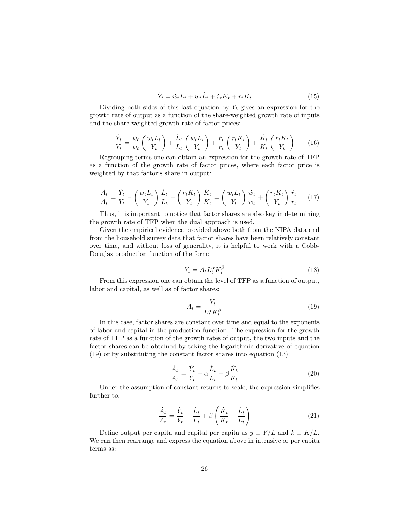$$
\dot{Y}_t = \dot{w}_t L_t + w_t \dot{L}_t + \dot{r}_t K_t + r_t \dot{K}_t \tag{15}
$$

Dividing both sides of this last equation by  $Y_t$  gives an expression for the growth rate of output as a function of the share-weighted growth rate of inputs and the share-weighted growth rate of factor prices:

$$
\frac{\dot{Y}_t}{Y_t} = \frac{\dot{w}_t}{w_t} \left( \frac{w_t L_t}{Y_t} \right) + \frac{\dot{L}_t}{L_t} \left( \frac{w_t L_t}{Y_t} \right) + \frac{\dot{r}_t}{r_t} \left( \frac{r_t K_t}{Y_t} \right) + \frac{\dot{K}_t}{K_t} \left( \frac{r_t K_t}{Y_t} \right) \tag{16}
$$

Regrouping terms one can obtain an expression for the growth rate of TFP as a function of the growth rate of factor prices, where each factor price is weighted by that factor's share in output:

$$
\frac{\dot{A}_t}{A_t} = \frac{\dot{Y}_t}{Y_t} - \left(\frac{w_t L_t}{Y_t}\right) \frac{\dot{L}_t}{L_t} - \left(\frac{r_t K_t}{Y_t}\right) \frac{\dot{K}_t}{K_t} = \left(\frac{w_t L_t}{Y_t}\right) \frac{\dot{w}_t}{w_t} + \left(\frac{r_t K_t}{Y_t}\right) \frac{\dot{r}_t}{r_t}
$$
(17)

Thus, it is important to notice that factor shares are also key in determining the growth rate of TFP when the dual approach is used.

Given the empirical evidence provided above both from the NIPA data and from the household survey data that factor shares have been relatively constant over time, and without loss of generality, it is helpful to work with a Cobb-Douglas production function of the form:

$$
Y_t = A_t L_t^{\alpha} K_t^{\beta} \tag{18}
$$

From this expression one can obtain the level of TFP as a function of output, labor and capital, as well as of factor shares:

$$
A_t = \frac{Y_t}{L_t^{\alpha} K_t^{\beta}} \tag{19}
$$

In this case, factor shares are constant over time and equal to the exponents of labor and capital in the production function. The expression for the growth rate of TFP as a function of the growth rates of output, the two inputs and the factor shares can be obtained by taking the logarithmic derivative of equation  $(19)$  or by substituting the constant factor shares into equation  $(13)$ :

$$
\frac{\dot{A}_t}{A_t} = \frac{\dot{Y}_t}{Y_t} - \alpha \frac{\dot{L}_t}{L_t} - \beta \frac{\dot{K}_t}{K_t} \tag{20}
$$

Under the assumption of constant returns to scale, the expression simplifies further to:

$$
\frac{\dot{A}_t}{A_t} = \frac{\dot{Y}_t}{Y_t} - \frac{\dot{L}_t}{L_t} + \beta \left(\frac{\dot{K}_t}{K_t} - \frac{\dot{L}_t}{L_t}\right)
$$
\n(21)

Define output per capita and capital per capita as  $y \equiv Y/L$  and  $k \equiv K/L$ . We can then rearrange and express the equation above in intensive or per capita terms as: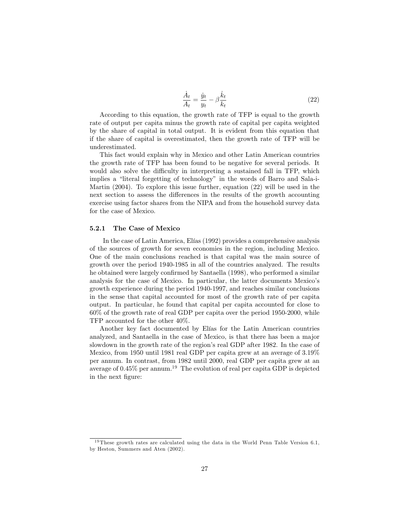$$
\frac{\dot{A}_t}{A_t} = \frac{\dot{y}_t}{y_t} - \beta \frac{\dot{k}_t}{k_t} \tag{22}
$$

According to this equation, the growth rate of TFP is equal to the growth rate of output per capita minus the growth rate of capital per capita weighted by the share of capital in total output. It is evident from this equation that if the share of capital is overestimated, then the growth rate of TFP will be underestimated.

This fact would explain why in Mexico and other Latin American countries the growth rate of TFP has been found to be negative for several periods. It would also solve the difficulty in interpreting a sustained fall in TFP, which implies a "literal forgetting of technology" in the words of Barro and Sala-i-Martin  $(2004)$ . To explore this issue further, equation  $(22)$  will be used in the next section to assess the differences in the results of the growth accounting exercise using factor shares from the NIPA and from the household survey data for the case of Mexico.

#### 5.2.1 The Case of Mexico

In the case of Latin America, Elías (1992) provides a comprehensive analysis of the sources of growth for seven economies in the region, including Mexico. One of the main conclusions reached is that capital was the main source of growth over the period 1940-1985 in all of the countries analyzed. The results he obtained were largely confirmed by Santaella (1998), who performed a similar analysis for the case of Mexico. In particular, the latter documents Mexico's growth experience during the period 1940-1997, and reaches similar conclusions in the sense that capital accounted for most of the growth rate of per capital output. In particular, he found that capital per capita accounted for close to  $60\%$  of the growth rate of real GDP per capita over the period 1950-2000, while TFP accounted for the other  $40\%$ .

Another key fact documented by Elías for the Latin American countries analyzed, and Santaella in the case of Mexico, is that there has been a major slowdown in the growth rate of the region's real GDP after 1982. In the case of Mexico, from 1950 until 1981 real GDP per capita grew at an average of 3.19% per annum. In contrast, from 1982 until 2000, real GDP per capita grew at an average of  $0.45\%$  per annum.<sup>19</sup> The evolution of real per capita GDP is depicted in the next figure:

<sup>&</sup>lt;sup>19</sup>These growth rates are calculated using the data in the World Penn Table Version 6.1, by Heston, Summers and Aten (2002).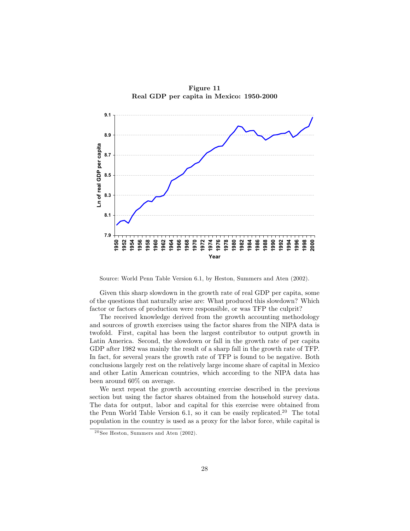

Figure 11 Real GDP per capita in Mexico: 1950-2000

Source: World Penn Table Version 6.1, by Heston, Summers and Aten (2002).

Given this sharp slowdown in the growth rate of real GDP per capita, some of the questions that naturally arise are: What produced this slowdown? Which factor or factors of production were responsible, or was TFP the culprit?

The received knowledge derived from the growth accounting methodology and sources of growth exercises using the factor shares from the NIPA data is twofold. First, capital has been the largest contributor to output growth in Latin America. Second, the slowdown or fall in the growth rate of per capita GDP after 1982 was mainly the result of a sharp fall in the growth rate of TFP. In fact, for several years the growth rate of TFP is found to be negative. Both conclusions largely rest on the relatively large income share of capital in Mexico and other Latin American countries, which according to the NIPA data has been around  $60\%$  on average.

We next repeat the growth accounting exercise described in the previous section but using the factor shares obtained from the household survey data. The data for output, labor and capital for this exercise were obtained from the Penn World Table Version 6.1, so it can be easily replicated.<sup>20</sup> The total population in the country is used as a proxy for the labor force, while capital is

 $20$  See Heston, Summers and Aten  $(2002)$ .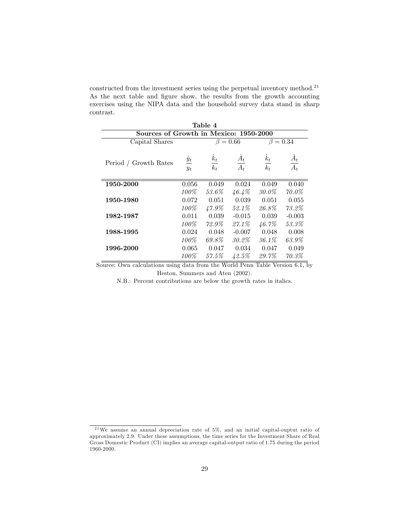constructed from the investment series using the perpetual inventory method.<sup>21</sup> As the next table and figure show, the results from the growth accounting exercises using the NIPA data and the household survey data stand in sharp  $\,$  contrast.

| Table 4                                |                                      |                   |                           |                         |                         |
|----------------------------------------|--------------------------------------|-------------------|---------------------------|-------------------------|-------------------------|
| Sources of Growth in Mexico: 1950-2000 |                                      |                   |                           |                         |                         |
| Capital Shares                         |                                      | $\beta = 0.66$    |                           | $\beta = 0.34$          |                         |
| Period / Growth Rates                  | $\frac{\dot{y}_t}{\dot{x}}$<br>$y_t$ | $\frac{k_t}{k_t}$ | $A_t$<br>$\overline{A_t}$ | $\frac{\dot{k}_t}{k_t}$ | $\frac{\dot{A}_t}{A_t}$ |
| 1950-2000                              | 0.056                                | 0.049             | 0.024                     | 0.049                   | 0.040                   |
|                                        | 100%                                 | 53.6%             | $46.4\%$                  | 30.0%                   | $70.0\%$                |
| 1950-1980                              | 0.072                                | 0.051             | 0.039                     | 0.051                   | 0.055                   |
|                                        | $100\%$                              | $47.9\%$          | 52.1%                     | 26.8%                   | $73.2\%$                |
| 1982-1987                              | 0.011                                | 0.039             | $-0.015$                  | 0.039                   | $-0.003$                |
|                                        | 100%                                 | $72.9\%$          | $27.1\%$                  | 46.7%                   | 53.3%                   |
| 1988-1995                              | 0.024                                | 0.048             | $-0.007$                  | 0.048                   | 0.008                   |
|                                        | 100%                                 | 69.8%             | 30.2%                     | $36.1\%$                | 63.9%                   |
| 1996-2000                              | 0.065                                | 0.047             | 0.034                     | 0.047                   | 0.049                   |
|                                        | 100%                                 | 57.5%             | 42.5%                     | 29.7%                   | $70.3\%$                |

Source: Own calculations using data from the World Penn Table Version  $6.1$ , by Heston, Summers and Aten (2002).

N.B.: Percent contributions are below the growth rates in italics.

 $21$ We assume an annual depreciation rate of 5%, and an initial capital-ouptut ratio of approximately 2.9. Under these assumptions, the time series for the Investment Share of Real Gross Domestic Product (CI) implies an average capital-output ratio of 1.75 during the period  $1960 - 2000.$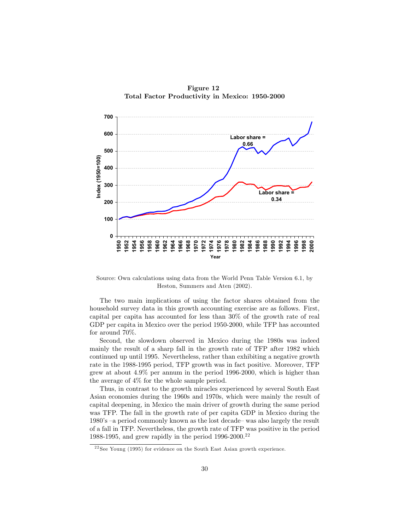

Figure 12 Total Factor Productivity in Mexico: 1950-2000

Source: Own calculations using data from the World Penn Table Version 6.1, by Heston, Summers and Aten (2002).

The two main implications of using the factor shares obtained from the household survey data in this growth accounting exercise are as follows. First, capital per capita has accounted for less than 30% of the growth rate of real GDP per capita in Mexico over the period 1950-2000, while TFP has accounted for around  $70\%$ .

Second, the slowdown observed in Mexico during the 1980s was indeed mainly the result of a sharp fall in the growth rate of TFP after 1982 which continued up until 1995. Nevertheless, rather than exhibiting a negative growth rate in the 1988-1995 period, TFP growth was in fact positive. Moreover, TFP grew at about  $4.9\%$  per annum in the period 1996-2000, which is higher than the average of  $4\%$  for the whole sample period.

Thus, in contrast to the growth miracles experienced by several South East Asian economies during the 1960s and 1970s, which were mainly the result of capital deepening, in Mexico the main driver of growth during the same period was TFP. The fall in the growth rate of per capita GDP in Mexico during the 1980's -a period commonly known as the lost decade- was also largely the result of a fall in TFP. Nevertheless, the growth rate of TFP was positive in the period 1988-1995, and grew rapidly in the period  $1996-2000^{22}$ 

 $22$ See Young (1995) for evidence on the South East Asian growth experience.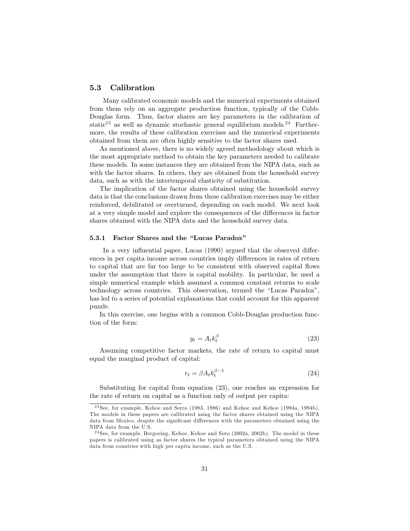#### $5.3$ Calibration

Many calibrated economic models and the numerical experiments obtained from them rely on an aggregate production function, typically of the Cobb-Douglas form. Thus, factor shares are key parameters in the calibration of static<sup>23</sup> as well as dynamic stochastic general equilibrium models.<sup>24</sup> Furthermore, the results of these calibration exercises and the numerical experiments obtained from them are often highly sensitive to the factor shares used.

As mentioned above, there is no widely agreed methodology about which is the most appropriate method to obtain the key parameters needed to calibrate these models. In some instances they are obtained from the NIPA data, such as with the factor shares. In others, they are obtained from the household survey data, such as with the intertemporal elasticity of substitution.

The implication of the factor shares obtained using the household survey data is that the conclusions drawn from these calibration exercises may be either reinforced, debilitated or overturned, depending on each model. We next look at a very simple model and explore the consequences of the differences in factor shares obtained with the NIPA data and the household survey data.

#### 5.3.1 Factor Shares and the "Lucas Paradox"

In a very influential paper, Lucas (1990) argued that the observed differences in per capita income across countries imply differences in rates of return to capital that are far too large to be consistent with observed capital flows under the assumption that there is capital mobility. In particular, he used a simple numerical example which assumed a common constant returns to scale technology across countries. This observation, termed the "Lucas Paradox", has led to a series of potential explanations that could account for this apparent puzzle.

In this exercise, one begins with a common Cobb-Douglas production function of the form:

$$
y_t = A_t k_t^{\beta} \tag{23}
$$

Assuming competitive factor markets, the rate of return to capital must equal the marginal product of capital:

$$
r_t = \beta A_t k_t^{\beta - 1} \tag{24}
$$

Substituting for capital from equation  $(23)$ , one reaches an expression for the rate of return on capital as a function only of output per capita:

 $^{23}$ See, for example, Kehoe and Serra (1983, 1986) and Kehoe and Kehoe (1994a, 1994b). The models in these papers are calibrated using the factor shares obtained using the NIPA data from Mexico, despite the significant differences with the parameters obtained using the NIPA data from the U.S.

 $24$  See, for example, Bergoeing, Kehoe, Kehoe and Soto (2002a, 2002b). The model in these papers is calibrated using as factor shares the typical parameters obtained using the NIPA data from countries with high per capita income, such as the U.S.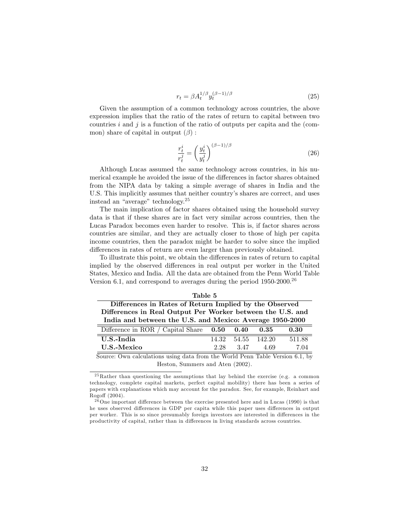$$
r_t = \beta A_t^{1/\beta} y_t^{(\beta - 1)/\beta} \tag{25}
$$

Given the assumption of a common technology across countries, the above expression implies that the ratio of the rates of return to capital between two countries  $i$  and  $j$  is a function of the ratio of outputs per capita and the (common) share of capital in output  $(\beta)$ :

$$
\frac{r_t^i}{r_t^j} = \left(\frac{y_t^i}{y_t^j}\right)^{(\beta - 1)/\beta} \tag{26}
$$

Although Lucas assumed the same technology across countries, in his numerical example he avoided the issue of the differences in factor shares obtained from the NIPA data by taking a simple average of shares in India and the U.S. This implicitly assumes that neither country's shares are correct, and uses instead an "average" technology.<sup>25</sup>

The main implication of factor shares obtained using the household survey data is that if these shares are in fact very similar across countries, then the Lucas Paradox becomes even harder to resolve. This is, if factor shares across countries are similar, and they are actually closer to those of high per capita income countries, then the paradox might be harder to solve since the implied differences in rates of return are even larger than previously obtained.

To illustrate this point, we obtain the differences in rates of return to capital implied by the observed differences in real output per worker in the United States, Mexico and India. All the data are obtained from the Penn World Table Version 6.1, and correspond to averages during the period  $1950$ - $2000$ <sup>26</sup>

| Table 5                                                                       |       |       |        |        |  |
|-------------------------------------------------------------------------------|-------|-------|--------|--------|--|
| Differences in Rates of Return Implied by the Observed                        |       |       |        |        |  |
| Differences in Real Output Per Worker between the U.S. and                    |       |       |        |        |  |
| India and between the U.S. and Mexico: Average 1950-2000                      |       |       |        |        |  |
| Difference in ROR / Capital Share $0.50$                                      |       | 0.40  | 0.35   | 0.30   |  |
| U.S.-India                                                                    | 14.32 | 54.55 | 142.20 | 511.88 |  |
| U.S.-Mexico                                                                   | 2.28  | 3.47  | 4.69   | 7.04   |  |
| Source: Own calculations using data from the World Penn Table Version 6.1, by |       |       |        |        |  |

Heston, Summers and Aten (2002).

 ${}^{25}$ Rather than questioning the assumptions that lay behind the exercise (e.g. a common technology, complete capital markets, perfect capital mobility) there has been a series of papers with explanations which may account for the paradox. See, for example, Reinhart and Rogoff (2004).

 $^{26}$  One important difference between the exercise presented here and in Lucas (1990) is that he uses observed differences in GDP per capita while this paper uses differences in output per worker. This is so since presumably foreign investors are interested in differences in the productivity of capital, rather than in differences in living standards across countries.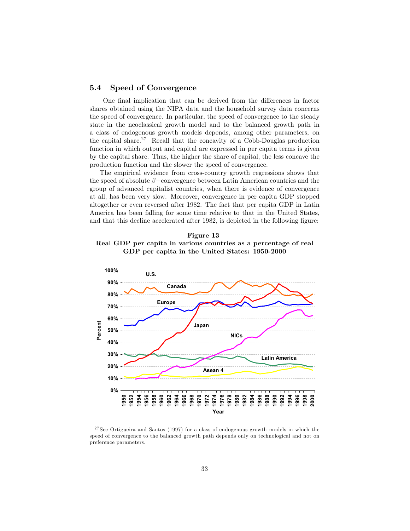#### $5.4$ Speed of Convergence

One final implication that can be derived from the differences in factor shares obtained using the NIPA data and the household survey data concerns the speed of convergence. In particular, the speed of convergence to the steady state in the neoclassical growth model and to the balanced growth path in a class of endogenous growth models depends, among other parameters, on the capital share.<sup>27</sup> Recall that the concavity of a Cobb-Douglas production function in which output and capital are expressed in per capita terms is given by the capital share. Thus, the higher the share of capital, the less concave the production function and the slower the speed of convergence.

The empirical evidence from cross-country growth regressions shows that the speed of absolute  $\beta$ -convergence between Latin American countries and the group of advanced capitalist countries, when there is evidence of convergence at all, has been very slow. Moreover, convergence in per capita GDP stopped altogether or even reversed after 1982. The fact that per capita GDP in Latin America has been falling for some time relative to that in the United States, and that this decline accelerated after 1982, is depicted in the following figure:

Figure 13 Real GDP per capita in various countries as a percentage of real GDP per capita in the United States: 1950-2000



 $27$  See Ortigueira and Santos (1997) for a class of endogenous growth models in which the speed of convergence to the balanced growth path depends only on technological and not on preference parameters.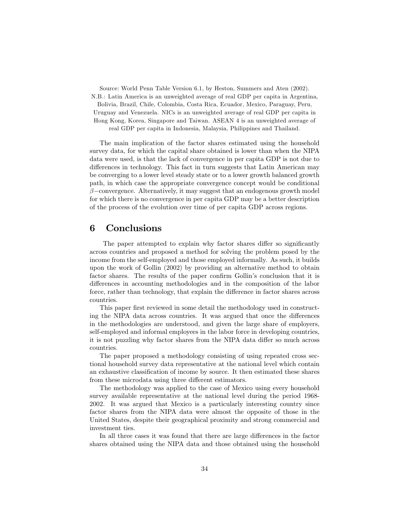Source: World Penn Table Version 6.1, by Heston, Summers and Aten (2002). N.B.: Latin America is an unweighted average of real GDP per capita in Argentina, Bolivia, Brazil, Chile, Colombia, Costa Rica, Ecuador, Mexico, Paraguay, Peru, Uruguay and Venezuela. NICs is an unweighted average of real GDP per capita in Hong Kong, Korea, Singapore and Taiwan. ASEAN 4 is an unweighted average of real GDP per capita in Indonesia, Malaysia, Philippines and Thailand.

The main implication of the factor shares estimated using the household survey data, for which the capital share obtained is lower than when the NIPA data were used, is that the lack of convergence in per capita GDP is not due to differences in technology. This fact in turn suggests that Latin American may be converging to a lower level steady state or to a lower growth balanced growth path, in which case the appropriate convergence concept would be conditional  $\beta$ -convergence. Alternatively, it may suggest that an endogenous growth model for which there is no convergence in per capita GDP may be a better description of the process of the evolution over time of per capita GDP across regions.

## Conclusions 6

The paper attempted to explain why factor shares differ so significantly across countries and proposed a method for solving the problem posed by the income from the self-employed and those employed informally. As such, it builds upon the work of Gollin (2002) by providing an alternative method to obtain factor shares. The results of the paper confirm Gollin's conclusion that it is differences in accounting methodologies and in the composition of the labor force, rather than technology, that explain the difference in factor shares across countries.

This paper first reviewed in some detail the methodology used in constructing the NIPA data across countries. It was argued that once the differences in the methodologies are understood, and given the large share of employers, self-employed and informal employees in the labor force in developing countries, it is not puzzling why factor shares from the NIPA data differ so much across countries.

The paper proposed a methodology consisting of using repeated cross sectional household survey data representative at the national level which contain an exhaustive classification of income by source. It then estimated these shares from these microdata using three different estimators.

The methodology was applied to the case of Mexico using every household survey available representative at the national level during the period 1968-2002. It was argued that Mexico is a particularly interesting country since factor shares from the NIPA data were almost the opposite of those in the United States, despite their geographical proximity and strong commercial and investment ties.

In all three cases it was found that there are large differences in the factor shares obtained using the NIPA data and those obtained using the household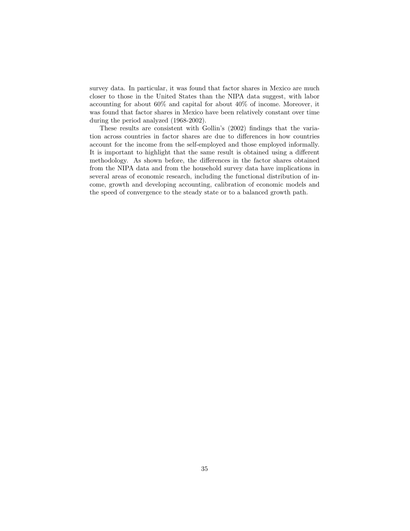survey data. In particular, it was found that factor shares in Mexico are much closer to those in the United States than the NIPA data suggest, with labor accounting for about  $60\%$  and capital for about  $40\%$  of income. Moreover, it was found that factor shares in Mexico have been relatively constant over time during the period analyzed (1968-2002).

These results are consistent with Gollin's (2002) findings that the variation across countries in factor shares are due to differences in how countries account for the income from the self-employed and those employed informally. It is important to highlight that the same result is obtained using a different methodology. As shown before, the differences in the factor shares obtained from the NIPA data and from the household survey data have implications in several areas of economic research, including the functional distribution of income, growth and developing accounting, calibration of economic models and the speed of convergence to the steady state or to a balanced growth path.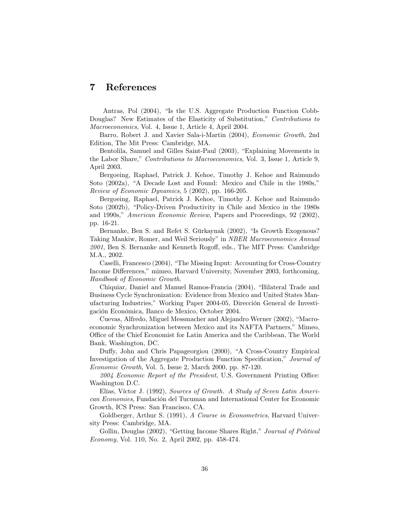## 7 References

Antras, Pol (2004), "Is the U.S. Aggregate Production Function Cobb-Douglas? New Estimates of the Elasticity of Substitution," Contributions to *Macroeconomics*, Vol. 4, Issue 1, Article 4, April 2004.

Barro, Robert J. and Xavier Sala-i-Martin (2004), *Economic Growth*, 2nd Edition, The Mit Press: Cambridge, MA.

Bentolila, Samuel and Gilles Saint-Paul (2003), "Explaining Movements in the Labor Share," Contributions to Macroeconomics, Vol. 3, Issue 1, Article 9, April 2003.

Bergoeing, Raphael, Patrick J. Kehoe, Timothy J. Kehoe and Raimundo Soto (2002a), "A Decade Lost and Found: Mexico and Chile in the 1980s," Review of Economic Dynamics, 5 (2002), pp. 166-205.

Bergoeing, Raphael, Patrick J. Kehoe, Timothy J. Kehoe and Raimundo Soto (2002b), "Policy-Driven Productivity in Chile and Mexico in the 1980s and 1990s," *American Economic Review*, Papers and Proceedings, 92 (2002), pp. 16-21.

Bernanke, Ben S. and Refet S. Gürkaynak (2002), "Is Growth Exogenous? Taking Mankiw, Romer, and Weil Seriously" in NBER Macroeconomics Annual 2001, Ben S. Bernanke and Kenneth Rogoff, eds., The MIT Press: Cambridge M.A., 2002.

Caselli, Francesco (2004), "The Missing Input: Accounting for Cross-Country Income Differences," mimeo, Harvard University, November 2003, forthcoming, Handbook of Economic Growth.

Chiquiar, Daniel and Manuel Ramos-Francia (2004), "Bilateral Trade and Business Cycle Synchronization: Evidence from Mexico and United States Manufacturing Industries," Working Paper 2004-05, Dirección General de Investigación Económica, Banco de Mexico, October 2004.

Cuevas, Alfredo, Miguel Messmacher and Alejandro Werner (2002), "Macroeconomic Synchronization between Mexico and its NAFTA Partners," Mimeo, Office of the Chief Economist for Latin America and the Caribbean, The World Bank, Washington, DC.

Duffy, John and Chris Papageorgiou (2000), "A Cross-Country Empirical Investigation of the Aggregate Production Function Specification," Journal of *Economic Growth*, Vol. 5, Issue 2, March 2000, pp. 87-120.

2004 Economic Report of the President, U.S. Government Printing Office: Washington D.C.

Elías, Víctor J. (1992), Sources of Growth. A Study of Seven Latin American Economies, Fundación del Tucuman and International Center for Economic Growth, ICS Press: San Francisco, CA.

Goldberger, Arthur S. (1991), A Course in Econometrics, Harvard University Press: Cambridge, MA.

Gollin, Douglas (2002), "Getting Income Shares Right," Journal of Political Economy, Vol. 110, No. 2, April 2002, pp. 458-474.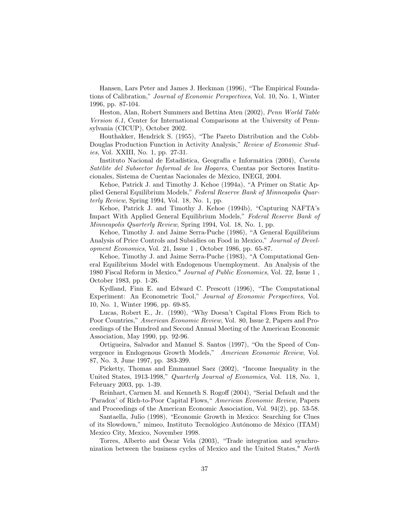Hansen, Lars Peter and James J. Heckman (1996), "The Empirical Foundations of Calibration," Journal of Economic Perspectives, Vol. 10, No. 1, Winter 1996, pp. 87-104.

Heston, Alan, Robert Summers and Bettina Aten (2002), Penn World Table Version 6.1, Center for International Comparisons at the University of Pennsylvania (CICUP), October 2002.

Houthakker, Hendrick S. (1955), "The Pareto Distribution and the Cobb-Douglas Production Function in Activity Analysis," Review of Economic Stud*ies*, Vol. XXIII, No. 1, pp. 27-31.

Instituto Nacional de Estadística, Geografía e Informática (2004), Cuenta Satélite del Subsector Informal de los Hogares, Cuentas por Sectores Institucionales, Sistema de Cuentas Nacionales de México, INEGI, 2004.

Kehoe, Patrick J. and Timothy J. Kehoe (1994a), "A Primer on Static Applied General Equilibrium Models," Federal Reserve Bank of Minneapolis Quar $terly Review$ , Spring 1994, Vol. 18, No. 1, pp.

Kehoe, Patrick J. and Timothy J. Kehoe (1994b), "Capturing NAFTA's Impact With Applied General Equilibrium Models," Federal Reserve Bank of *Minneapolis Quarterly Review, Spring 1994, Vol. 18, No. 1, pp.* 

Kehoe, Timothy J. and Jaime Serra-Puche (1986), "A General Equilibrium Analysis of Price Controls and Subsidies on Food in Mexico," Journal of Development Economics, Vol. 21, Issue 1, October 1986, pp. 65-87.

Kehoe, Timothy J. and Jaime Serra-Puche (1983), "A Computational General Equilibrium Model with Endogenous Unemployment. An Analysis of the 1980 Fiscal Reform in Mexico," Journal of Public Economics, Vol. 22, Issue 1, October 1983, pp. 1-26.

Kydland, Finn E. and Edward C. Prescott (1996), "The Computational Experiment: An Econometric Tool," Journal of Economic Perspectives, Vol. 10, No. 1, Winter 1996, pp. 69-85.

Lucas, Robert E., Jr. (1990), "Why Doesn't Capital Flows From Rich to Poor Countries," American Economic Review, Vol. 80, Issue 2, Papers and Proceedings of the Hundred and Second Annual Meeting of the American Economic Association, May 1990, pp. 92-96.

Ortigueira, Salvador and Manuel S. Santos (1997), "On the Speed of Convergence in Endogenous Growth Models," American Economic Review, Vol. 87, No. 3, June 1997, pp. 383-399.

Picketty, Thomas and Emmanuel Saez (2002), "Income Inequality in the United States, 1913-1998," Quarterly Journal of Economics, Vol. 118, No. 1, February 2003, pp. 1-39.

Reinhart, Carmen M. and Kenneth S. Rogoff (2004), "Serial Default and the 'Paradox' of Rich-to-Poor Capital Flows," American Economic Review, Papers and Proceedings of the American Economic Association, Vol.  $94(2)$ , pp. 53-58.

Santaella, Julio (1998), "Economic Growth in Mexico: Searching for Clues of its Slowdown," mimeo, Instituto Tecnológico Autónomo de México (ITAM) Mexico City, Mexico, November 1998.

Torres, Alberto and Oscar Vela (2003), "Trade integration and synchronization between the business cycles of Mexico and the United States," North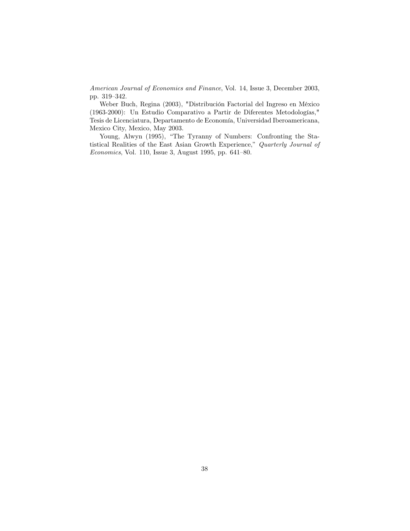American Journal of Economics and Finance, Vol. 14, Issue 3, December 2003, pp. 319-342.

Weber Buch, Regina (2003), "Distribución Factorial del Ingreso en México (1963-2000): Un Estudio Comparativo a Partir de Diferentes Metodologías," Tesis de Licenciatura, Departamento de Economía, Universidad Iberoamericana, Mexico City, Mexico, May 2003.

Young, Alwyn (1995), "The Tyranny of Numbers: Confronting the Statistical Realities of the East Asian Growth Experience," Quarterly Journal of Economics, Vol. 110, Issue 3, August 1995, pp. 641-80.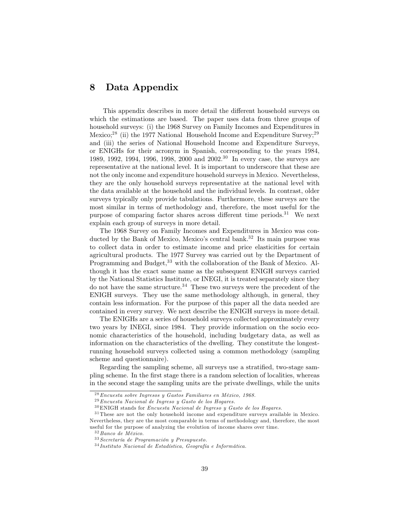# 8 Data Appendix

This appendix describes in more detail the different household surveys on which the estimations are based. The paper uses data from three groups of household surveys: (i) the 1968 Survey on Family Incomes and Expenditures in Mexico;<sup>28</sup> (ii) the 1977 National Household Income and Expenditure Survey;<sup>29</sup> and (iii) the series of National Household Income and Expenditure Surveys, or ENIGHs for their acronym in Spanish, corresponding to the years 1984, 1989, 1992, 1994, 1996, 1998, 2000 and 2002.<sup>30</sup> In every case, the surveys are representative at the national level. It is important to underscore that these are not the only income and expenditure household surveys in Mexico. Nevertheless, they are the only household surveys representative at the national level with the data available at the household and the individual levels. In contrast, older surveys typically only provide tabulations. Furthermore, these surveys are the most similar in terms of methodology and, therefore, the most useful for the purpose of comparing factor shares across different time periods.<sup>31</sup> We next explain each group of surveys in more detail.

The 1968 Survey on Family Incomes and Expenditures in Mexico was conducted by the Bank of Mexico, Mexico's central bank.<sup>32</sup> Its main purpose was to collect data in order to estimate income and price elasticities for certain agricultural products. The 1977 Survey was carried out by the Department of Programming and Budget,<sup>33</sup> with the collaboration of the Bank of Mexico. Although it has the exact same name as the subsequent ENIGH surveys carried by the National Statistics Institute, or INEGI, it is treated separately since they do not have the same structure.<sup>34</sup> These two surveys were the precedent of the ENIGH surveys. They use the same methodology although, in general, they contain less information. For the purpose of this paper all the data needed are contained in every survey. We next describe the ENIGH surveys in more detail.

The ENIGHs are a series of household surveys collected approximately every two years by INEGI, since 1984. They provide information on the socio economic characteristics of the household, including budgetary data, as well as information on the characteristics of the dwelling. They constitute the longestrunning household surveys collected using a common methodology (sampling scheme and questionnaire).

Regarding the sampling scheme, all surveys use a stratified, two-stage sampling scheme. In the first stage there is a random selection of localities, whereas in the second stage the sampling units are the private dwellings, while the units

 $28$  Encuesta sobre Ingresos y Gastos Familiares en México, 1968.

 $29$  Encuesta Nacional de Ingreso y Gasto de los Hogares.

 $^{30}$  ENIGH stands for *Encuesta Nacional de Ingreso*  $y$  *Gasto de los Hogares.* 

 $31$  These are not the only household income and expenditure surveys available in Mexico. Nevertheless, they are the most comparable in terms of methodology and, therefore, the most useful for the purpose of analyzing the evolution of income shares over time.

 $^{32}\,Banco$  de México.

 $33$  Secretaría de Programación y Presupuesto.

<sup>&</sup>lt;sup>34</sup> Instituto Nacional de Estadística, Geografía e Informática.